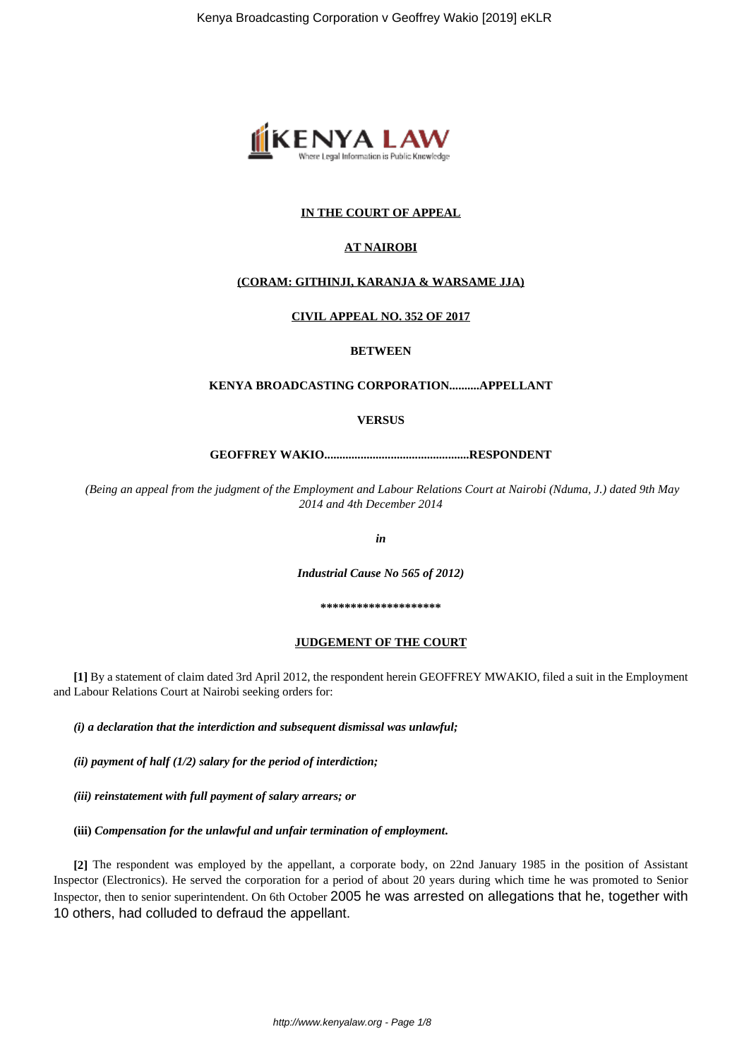

# **IN THE COURT OF APPEAL**

## **AT NAIROBI**

## **(CORAM: GITHINJI, KARANJA & WARSAME JJA)**

#### **CIVIL APPEAL NO. 352 OF 2017**

## **BETWEEN**

#### **KENYA BROADCASTING CORPORATION..........APPELLANT**

## **VERSUS**

**GEOFFREY WAKIO................................................RESPONDENT**

*(Being an appeal from the judgment of the Employment and Labour Relations Court at Nairobi (Nduma, J.) dated 9th May 2014 and 4th December 2014*

*in*

*Industrial Cause No 565 of 2012)*

**\*\*\*\*\*\*\*\*\*\*\*\*\*\*\*\*\*\*\*\***

#### **JUDGEMENT OF THE COURT**

**[1]** By a statement of claim dated 3rd April 2012, the respondent herein GEOFFREY MWAKIO, filed a suit in the Employment and Labour Relations Court at Nairobi seeking orders for:

*(i) a declaration that the interdiction and subsequent dismissal was unlawful;*

*(ii) payment of half (1/2) salary for the period of interdiction;*

*(iii) reinstatement with full payment of salary arrears; or*

**(iii)** *Compensation for the unlawful and unfair termination of employment***.**

**[2]** The respondent was employed by the appellant, a corporate body, on 22nd January 1985 in the position of Assistant Inspector (Electronics). He served the corporation for a period of about 20 years during which time he was promoted to Senior Inspector, then to senior superintendent. On 6th October 2005 he was arrested on allegations that he, together with 10 others, had colluded to defraud the appellant.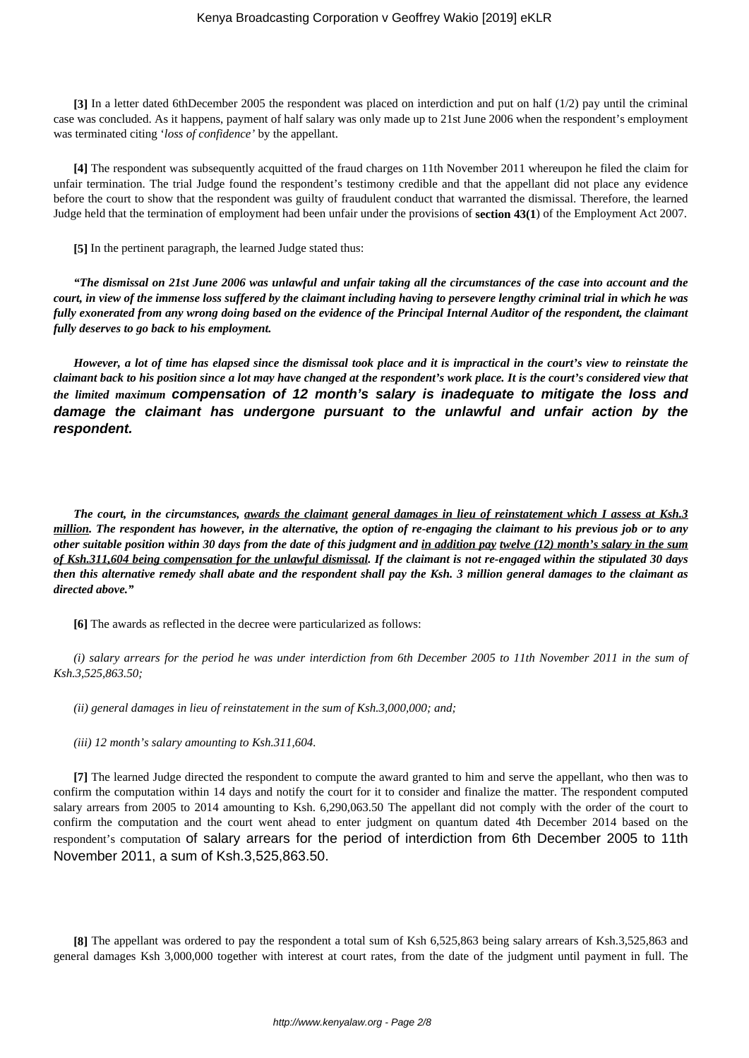**[3]** In a letter dated 6thDecember 2005 the respondent was placed on interdiction and put on half (1/2) pay until the criminal case was concluded. As it happens, payment of half salary was only made up to 21st June 2006 when the respondent's employment was terminated citing '*loss of confidence'* by the appellant.

**[4]** The respondent was subsequently acquitted of the fraud charges on 11th November 2011 whereupon he filed the claim for unfair termination. The trial Judge found the respondent's testimony credible and that the appellant did not place any evidence before the court to show that the respondent was guilty of fraudulent conduct that warranted the dismissal. Therefore, the learned Judge held that the termination of employment had been unfair under the provisions of **section 43(1**) of the Employment Act 2007.

**[5]** In the pertinent paragraph, the learned Judge stated thus:

*"The dismissal on 21st June 2006 was unlawful and unfair taking all the circumstances of the case into account and the court, in view of the immense loss suffered by the claimant including having to persevere lengthy criminal trial in which he was fully exonerated from any wrong doing based on the evidence of the Principal Internal Auditor of the respondent, the claimant fully deserves to go back to his employment.*

*However, a lot of time has elapsed since the dismissal took place and it is impractical in the court's view to reinstate the claimant back to his position since a lot may have changed at the respondent's work place. It is the court's considered view that the limited maximum* **compensation of 12 month's salary is inadequate to mitigate the loss and damage the claimant has undergone pursuant to the unlawful and unfair action by the respondent.**

*The court, in the circumstances, awards the claimant general damages in lieu of reinstatement which I assess at Ksh.3 million. The respondent has however, in the alternative, the option of re-engaging the claimant to his previous job or to any other suitable position within 30 days from the date of this judgment and in addition pay twelve (12) month's salary in the sum of Ksh.311,604 being compensation for the unlawful dismissal. If the claimant is not re-engaged within the stipulated 30 days then this alternative remedy shall abate and the respondent shall pay the Ksh. 3 million general damages to the claimant as directed above."*

**[6]** The awards as reflected in the decree were particularized as follows:

*(i) salary arrears for the period he was under interdiction from 6th December 2005 to 11th November 2011 in the sum of Ksh.3,525,863.50;*

*(ii) general damages in lieu of reinstatement in the sum of Ksh.3,000,000; and;*

*(iii) 12 month's salary amounting to Ksh.311,604.*

**[7]** The learned Judge directed the respondent to compute the award granted to him and serve the appellant, who then was to confirm the computation within 14 days and notify the court for it to consider and finalize the matter. The respondent computed salary arrears from 2005 to 2014 amounting to Ksh. 6,290,063.50 The appellant did not comply with the order of the court to confirm the computation and the court went ahead to enter judgment on quantum dated 4th December 2014 based on the respondent's computation of salary arrears for the period of interdiction from 6th December 2005 to 11th November 2011, a sum of Ksh.3,525,863.50.

**[8]** The appellant was ordered to pay the respondent a total sum of Ksh 6,525,863 being salary arrears of Ksh.3,525,863 and general damages Ksh 3,000,000 together with interest at court rates, from the date of the judgment until payment in full. The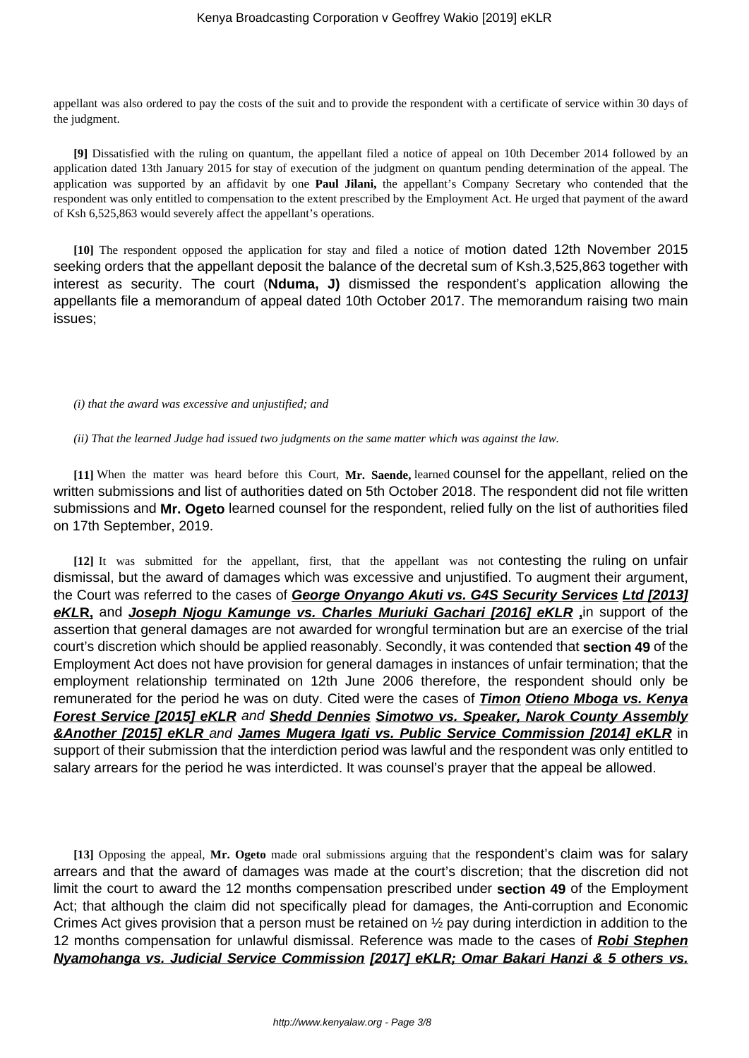appellant was also ordered to pay the costs of the suit and to provide the respondent with a certificate of service within 30 days of the judgment.

**[9]** Dissatisfied with the ruling on quantum, the appellant filed a notice of appeal on 10th December 2014 followed by an application dated 13th January 2015 for stay of execution of the judgment on quantum pending determination of the appeal. The application was supported by an affidavit by one **Paul Jilani,** the appellant's Company Secretary who contended that the respondent was only entitled to compensation to the extent prescribed by the Employment Act. He urged that payment of the award of Ksh 6,525,863 would severely affect the appellant's operations.

**[10]** The respondent opposed the application for stay and filed a notice of motion dated 12th November 2015 seeking orders that the appellant deposit the balance of the decretal sum of Ksh.3,525,863 together with interest as security. The court (**Nduma, J)** dismissed the respondent's application allowing the appellants file a memorandum of appeal dated 10th October 2017. The memorandum raising two main issues;

#### *(i) that the award was excessive and unjustified; and*

*(ii) That the learned Judge had issued two judgments on the same matter which was against the law.*

**[11]** When the matter was heard before this Court, **Mr. Saende,** learned counsel for the appellant, relied on the written submissions and list of authorities dated on 5th October 2018. The respondent did not file written submissions and **Mr. Ogeto** learned counsel for the respondent, relied fully on the list of authorities filed on 17th September, 2019.

**[12]** It was submitted for the appellant, first, that the appellant was not contesting the ruling on unfair dismissal, but the award of damages which was excessive and unjustified. To augment their argument, the Court was referred to the cases of **George Onyango Akuti vs. G4S Security Services Ltd [2013] eKLR,** and **Joseph Njogu Kamunge vs. Charles Muriuki Gachari [2016] eKLR ,**in support of the assertion that general damages are not awarded for wrongful termination but are an exercise of the trial court's discretion which should be applied reasonably. Secondly, it was contended that **section 49** of the Employment Act does not have provision for general damages in instances of unfair termination; that the employment relationship terminated on 12th June 2006 therefore, the respondent should only be remunerated for the period he was on duty. Cited were the cases of **Timon Otieno Mboga vs. Kenya Forest Service [2015] eKLR** and **Shedd Dennies Simotwo vs. Speaker, Narok County Assembly &Another [2015] eKLR** and **James Mugera Igati vs. Public Service Commission [2014] eKLR** in support of their submission that the interdiction period was lawful and the respondent was only entitled to salary arrears for the period he was interdicted. It was counsel's prayer that the appeal be allowed.

**[13]** Opposing the appeal, **Mr. Ogeto** made oral submissions arguing that the respondent's claim was for salary arrears and that the award of damages was made at the court's discretion; that the discretion did not limit the court to award the 12 months compensation prescribed under **section 49** of the Employment Act; that although the claim did not specifically plead for damages, the Anti-corruption and Economic Crimes Act gives provision that a person must be retained on ½ pay during interdiction in addition to the 12 months compensation for unlawful dismissal. Reference was made to the cases of **Robi Stephen Nyamohanga vs. Judicial Service Commission [2017] eKLR; Omar Bakari Hanzi & 5 others vs.**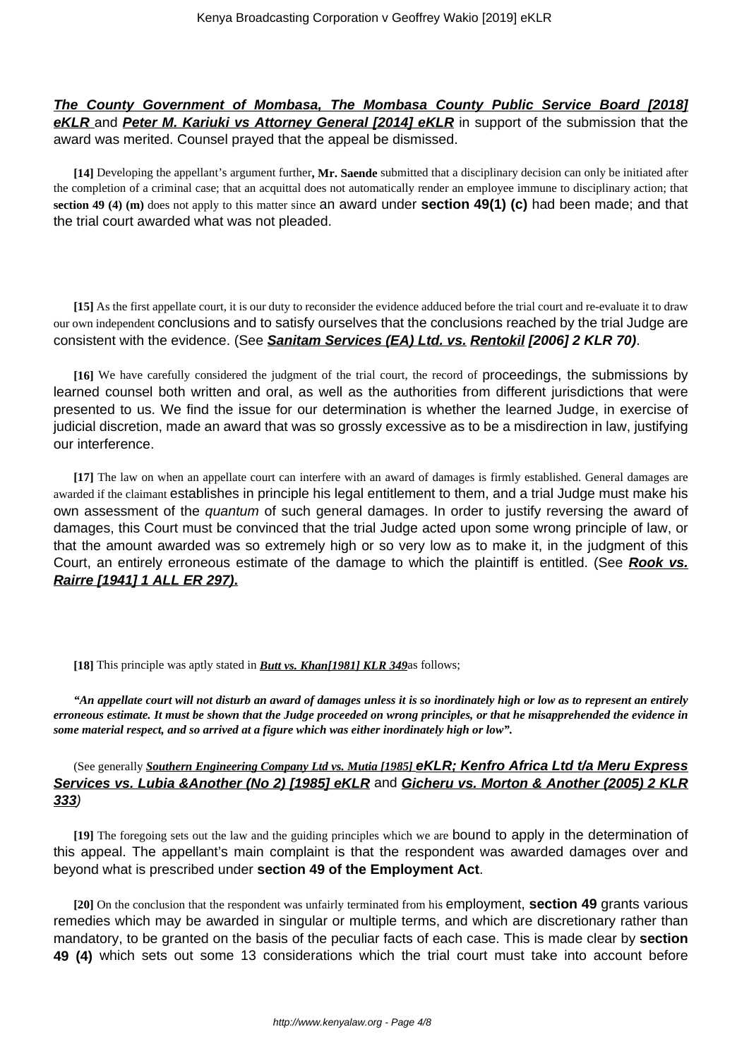# **The County Government of Mombasa, The Mombasa County Public Service Board [2018] eKLR** and **Peter M. Kariuki vs Attorney General [2014] eKLR** in support of the submission that the award was merited. Counsel prayed that the appeal be dismissed.

**[14]** Developing the appellant's argument further**, Mr. Saende** submitted that a disciplinary decision can only be initiated after the completion of a criminal case; that an acquittal does not automatically render an employee immune to disciplinary action; that **section 49 (4) (m)** does not apply to this matter since an award under **section 49(1) (c)** had been made; and that the trial court awarded what was not pleaded.

**[15]** As the first appellate court, it is our duty to reconsider the evidence adduced before the trial court and re-evaluate it to draw our own independent conclusions and to satisfy ourselves that the conclusions reached by the trial Judge are consistent with the evidence. (See **Sanitam Services (EA) Ltd. vs. Rentokil [2006] 2 KLR 70)**.

**[16]** We have carefully considered the judgment of the trial court, the record of proceedings, the submissions by learned counsel both written and oral, as well as the authorities from different jurisdictions that were presented to us. We find the issue for our determination is whether the learned Judge, in exercise of judicial discretion, made an award that was so grossly excessive as to be a misdirection in law, justifying our interference.

**[17]** The law on when an appellate court can interfere with an award of damages is firmly established. General damages are awarded if the claimant establishes in principle his legal entitlement to them, and a trial Judge must make his own assessment of the quantum of such general damages. In order to justify reversing the award of damages, this Court must be convinced that the trial Judge acted upon some wrong principle of law, or that the amount awarded was so extremely high or so very low as to make it, in the judgment of this Court, an entirely erroneous estimate of the damage to which the plaintiff is entitled. (See **Rook vs. Rairre [1941] 1 ALL ER 297).**

## **[18]** This principle was aptly stated in *Butt vs. Khan[1981] KLR 349*as follows;

*"An appellate court will not disturb an award of damages unless it is so inordinately high or low as to represent an entirely erroneous estimate. It must be shown that the Judge proceeded on wrong principles, or that he misapprehended the evidence in some material respect, and so arrived at a figure which was either inordinately high or low".*

(See generally *Southern Engineering Company Ltd vs. Mutia [1985]* **eKLR; Kenfro Africa Ltd t/a Meru Express Services vs. Lubia &Another (No 2) [1985] eKLR** and **Gicheru vs. Morton & Another (2005) 2 KLR 333**)

**[19]** The foregoing sets out the law and the guiding principles which we are bound to apply in the determination of this appeal. The appellant's main complaint is that the respondent was awarded damages over and beyond what is prescribed under **section 49 of the Employment Act**.

**[20]** On the conclusion that the respondent was unfairly terminated from his employment, **section 49** grants various remedies which may be awarded in singular or multiple terms, and which are discretionary rather than mandatory, to be granted on the basis of the peculiar facts of each case. This is made clear by **section 49 (4)** which sets out some 13 considerations which the trial court must take into account before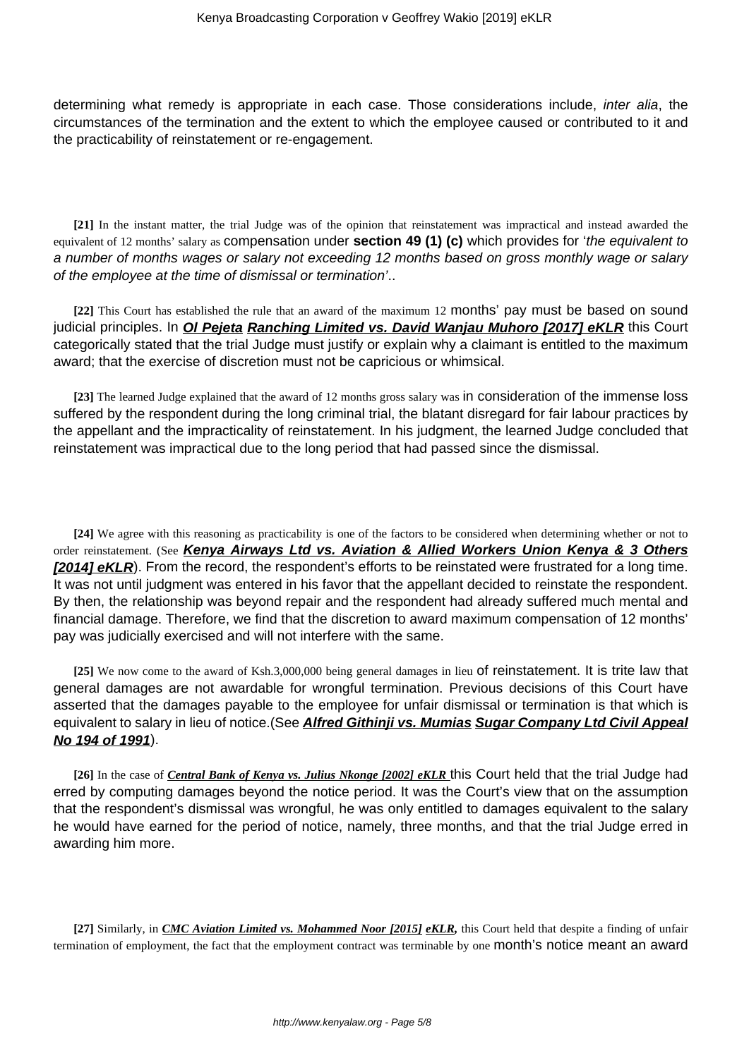determining what remedy is appropriate in each case. Those considerations include, *inter alia*, the circumstances of the termination and the extent to which the employee caused or contributed to it and the practicability of reinstatement or re-engagement.

**[21]** In the instant matter, the trial Judge was of the opinion that reinstatement was impractical and instead awarded the equivalent of 12 months' salary as compensation under **section 49 (1) (c)** which provides for 'the equivalent to a number of months wages or salary not exceeding 12 months based on gross monthly wage or salary of the employee at the time of dismissal or termination'..

**[22]** This Court has established the rule that an award of the maximum 12 months' pay must be based on sound judicial principles. In **Ol Pejeta Ranching Limited vs. David Wanjau Muhoro [2017] eKLR** this Court categorically stated that the trial Judge must justify or explain why a claimant is entitled to the maximum award; that the exercise of discretion must not be capricious or whimsical.

**[23]** The learned Judge explained that the award of 12 months gross salary was in consideration of the immense loss suffered by the respondent during the long criminal trial, the blatant disregard for fair labour practices by the appellant and the impracticality of reinstatement. In his judgment, the learned Judge concluded that reinstatement was impractical due to the long period that had passed since the dismissal.

**[24]** We agree with this reasoning as practicability is one of the factors to be considered when determining whether or not to order reinstatement. (See **Kenya Airways Ltd vs. Aviation & Allied Workers Union Kenya & 3 Others [2014] eKLR**). From the record, the respondent's efforts to be reinstated were frustrated for a long time. It was not until judgment was entered in his favor that the appellant decided to reinstate the respondent. By then, the relationship was beyond repair and the respondent had already suffered much mental and financial damage. Therefore, we find that the discretion to award maximum compensation of 12 months' pay was judicially exercised and will not interfere with the same.

**[25]** We now come to the award of Ksh.3,000,000 being general damages in lieu of reinstatement. It is trite law that general damages are not awardable for wrongful termination. Previous decisions of this Court have asserted that the damages payable to the employee for unfair dismissal or termination is that which is equivalent to salary in lieu of notice.(See **Alfred Githinji vs. Mumias Sugar Company Ltd Civil Appeal No 194 of 1991**).

**[26]** In the case of *Central Bank of Kenya vs. Julius Nkonge [2002] eKLR* this Court held that the trial Judge had erred by computing damages beyond the notice period. It was the Court's view that on the assumption that the respondent's dismissal was wrongful, he was only entitled to damages equivalent to the salary he would have earned for the period of notice, namely, three months, and that the trial Judge erred in awarding him more.

**[27]** Similarly, in *CMC Aviation Limited vs. Mohammed Noor [2015] eKLR,* this Court held that despite a finding of unfair termination of employment, the fact that the employment contract was terminable by one month's notice meant an award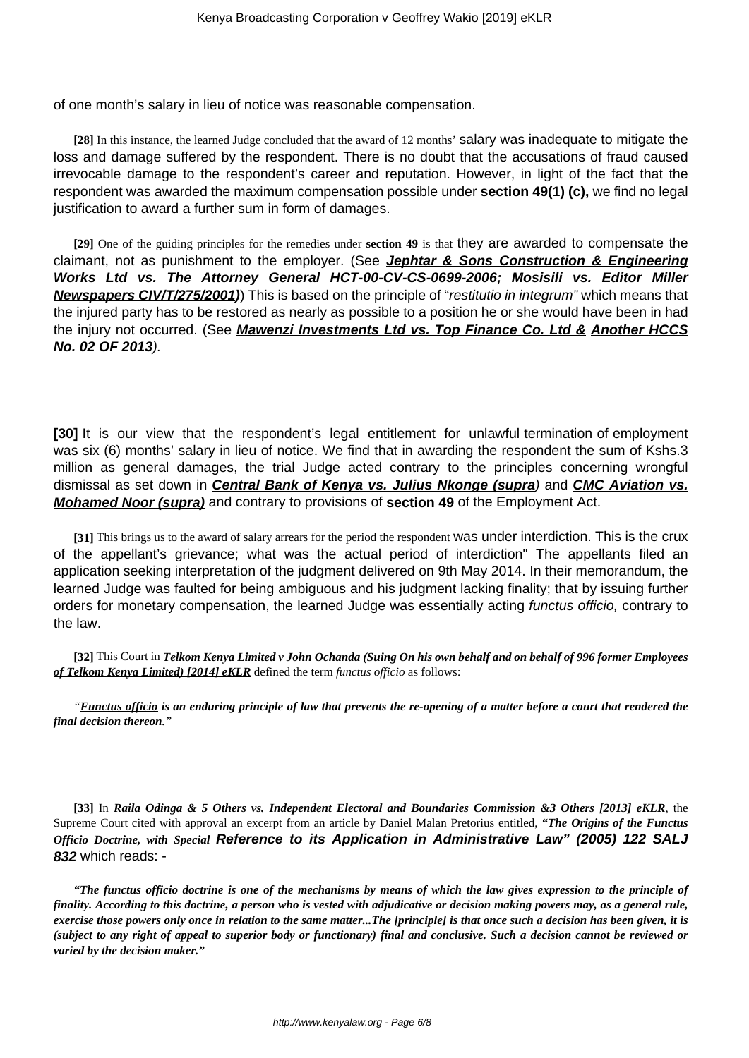of one month's salary in lieu of notice was reasonable compensation.

**[28]** In this instance, the learned Judge concluded that the award of 12 months' salary was inadequate to mitigate the loss and damage suffered by the respondent. There is no doubt that the accusations of fraud caused irrevocable damage to the respondent's career and reputation. However, in light of the fact that the respondent was awarded the maximum compensation possible under **section 49(1) (c),** we find no legal justification to award a further sum in form of damages.

**[29]** One of the guiding principles for the remedies under **section 49** is that they are awarded to compensate the claimant, not as punishment to the employer. (See **Jephtar & Sons Construction & Engineering Works Ltd vs. The Attorney General HCT-00-CV-CS-0699-2006; Mosisili vs. Editor Miller Newspapers CIV/T/275/2001)**) This is based on the principle of "restitutio in integrum" which means that the injured party has to be restored as nearly as possible to a position he or she would have been in had the injury not occurred. (See **Mawenzi Investments Ltd vs. Top Finance Co. Ltd & Another HCCS No. 02 OF 2013**).

**[30]** It is our view that the respondent's legal entitlement for unlawful termination of employment was six (6) months' salary in lieu of notice. We find that in awarding the respondent the sum of Kshs.3 million as general damages, the trial Judge acted contrary to the principles concerning wrongful dismissal as set down in **Central Bank of Kenya vs. Julius Nkonge (supra**) and **CMC Aviation vs. Mohamed Noor (supra)** and contrary to provisions of **section 49** of the Employment Act.

**[31]** This brings us to the award of salary arrears for the period the respondent was under interdiction. This is the crux of the appellant's grievance; what was the actual period of interdiction" The appellants filed an application seeking interpretation of the judgment delivered on 9th May 2014. In their memorandum, the learned Judge was faulted for being ambiguous and his judgment lacking finality; that by issuing further orders for monetary compensation, the learned Judge was essentially acting functus officio, contrary to the law.

**[32]** This Court in *Telkom Kenya Limited v John Ochanda (Suing On his own behalf and on behalf of 996 former Employees of Telkom Kenya Limited) [2014] eKLR* defined the term *functus officio* as follows:

*"Functus officio is an enduring principle of law that prevents the re-opening of a matter before a court that rendered the final decision thereon."*

**[33]** In *Raila Odinga & 5 Others vs. Independent Electoral and Boundaries Commission &3 Others [2013] eKLR*, the Supreme Court cited with approval an excerpt from an article by Daniel Malan Pretorius entitled, *"The Origins of the Functus Officio Doctrine, with Special* **Reference to its Application in Administrative Law" (2005) 122 SALJ 832** which reads: -

*"The functus officio doctrine is one of the mechanisms by means of which the law gives expression to the principle of finality. According to this doctrine, a person who is vested with adjudicative or decision making powers may, as a general rule, exercise those powers only once in relation to the same matter...The [principle] is that once such a decision has been given, it is (subject to any right of appeal to superior body or functionary) final and conclusive. Such a decision cannot be reviewed or varied by the decision maker."*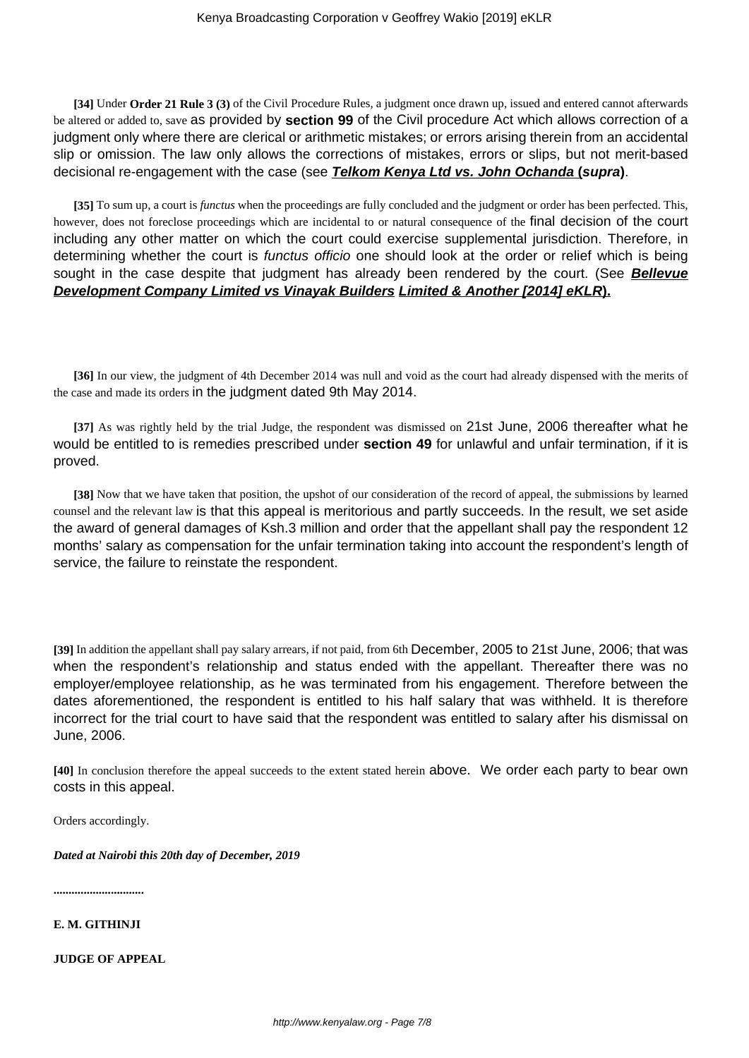**[34]** Under **Order 21 Rule 3 (3)** of the Civil Procedure Rules, a judgment once drawn up, issued and entered cannot afterwards be altered or added to, save as provided by **section 99** of the Civil procedure Act which allows correction of a judgment only where there are clerical or arithmetic mistakes; or errors arising therein from an accidental slip or omission. The law only allows the corrections of mistakes, errors or slips, but not merit-based decisional re-engagement with the case (see **Telkom Kenya Ltd vs. John Ochanda (supra)**.

**[35]** To sum up, a court is *functus* when the proceedings are fully concluded and the judgment or order has been perfected. This, however, does not foreclose proceedings which are incidental to or natural consequence of the final decision of the court including any other matter on which the court could exercise supplemental jurisdiction. Therefore, in determining whether the court is functus officio one should look at the order or relief which is being sought in the case despite that judgment has already been rendered by the court. (See **Bellevue Development Company Limited vs Vinayak Builders Limited & Another [2014] eKLR).**

**[36]** In our view, the judgment of 4th December 2014 was null and void as the court had already dispensed with the merits of the case and made its orders in the judgment dated 9th May 2014.

**[37]** As was rightly held by the trial Judge, the respondent was dismissed on 21st June, 2006 thereafter what he would be entitled to is remedies prescribed under **section 49** for unlawful and unfair termination, if it is proved.

**[38]** Now that we have taken that position, the upshot of our consideration of the record of appeal, the submissions by learned counsel and the relevant law is that this appeal is meritorious and partly succeeds. In the result, we set aside the award of general damages of Ksh.3 million and order that the appellant shall pay the respondent 12 months' salary as compensation for the unfair termination taking into account the respondent's length of service, the failure to reinstate the respondent.

**[39]** In addition the appellant shall pay salary arrears, if not paid, from 6th December, 2005 to 21st June, 2006; that was when the respondent's relationship and status ended with the appellant. Thereafter there was no employer/employee relationship, as he was terminated from his engagement. Therefore between the dates aforementioned, the respondent is entitled to his half salary that was withheld. It is therefore incorrect for the trial court to have said that the respondent was entitled to salary after his dismissal on June, 2006.

**[40]** In conclusion therefore the appeal succeeds to the extent stated herein above. We order each party to bear own costs in this appeal.

Orders accordingly.

*Dated at Nairobi this 20th day of December, 2019*

**..............................**

**E. M. GITHINJI**

**JUDGE OF APPEAL**